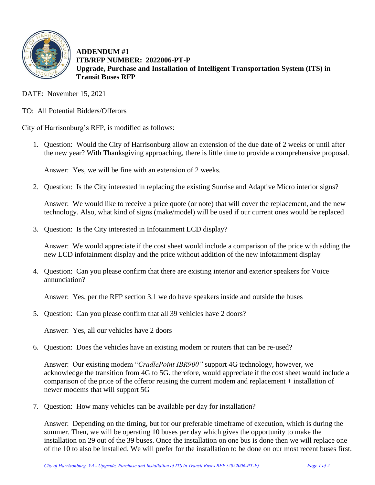

**ADDENDUM #1 ITB/RFP NUMBER: 2022006-PT-P Upgrade, Purchase and Installation of Intelligent Transportation System (ITS) in Transit Buses RFP**

DATE: November 15, 2021

TO: All Potential Bidders/Offerors

City of Harrisonburg's RFP, is modified as follows:

1. Question: Would the City of Harrisonburg allow an extension of the due date of 2 weeks or until after the new year? With Thanksgiving approaching, there is little time to provide a comprehensive proposal.

Answer: Yes, we will be fine with an extension of 2 weeks.

2. Question: Is the City interested in replacing the existing Sunrise and Adaptive Micro interior signs?

Answer: We would like to receive a price quote (or note) that will cover the replacement, and the new technology. Also, what kind of signs (make/model) will be used if our current ones would be replaced

3. Question: Is the City interested in Infotainment LCD display?

Answer: We would appreciate if the cost sheet would include a comparison of the price with adding the new LCD infotainment display and the price without addition of the new infotainment display

4. Question: Can you please confirm that there are existing interior and exterior speakers for Voice annunciation?

Answer: Yes, per the RFP section 3.1 we do have speakers inside and outside the buses

5. Question: Can you please confirm that all 39 vehicles have 2 doors?

Answer: Yes, all our vehicles have 2 doors

6. Question: Does the vehicles have an existing modem or routers that can be re-used?

Answer: Our existing modem "*CradlePoint IBR900"* support 4G technology, however, we acknowledge the transition from 4G to 5G. therefore, would appreciate if the cost sheet would include a comparison of the price of the offeror reusing the current modem and replacement + installation of newer modems that will support 5G

7. Question: How many vehicles can be available per day for installation?

Answer: Depending on the timing, but for our preferable timeframe of execution, which is during the summer. Then, we will be operating 10 buses per day which gives the opportunity to make the installation on 29 out of the 39 buses. Once the installation on one bus is done then we will replace one of the 10 to also be installed. We will prefer for the installation to be done on our most recent buses first.